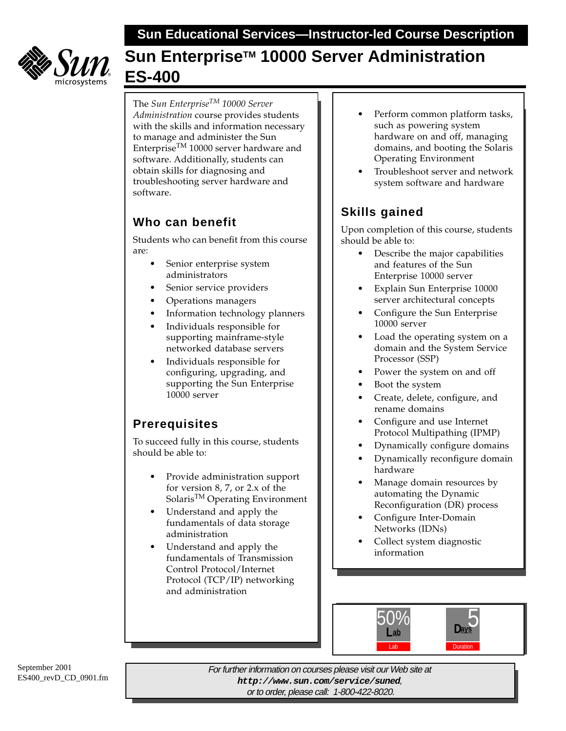**Sun Educational Services—Instructor-led Course Description**



# **Sun Enterprise™ 10000 Server Administration ES-400**

The *Sun EnterpriseTM 10000 Server Administration* course provides students with the skills and information necessary to manage and administer the Sun Enterprise<sup>TM</sup> 10000 server hardware and software. Additionally, students can obtain skills for diagnosing and troubleshooting server hardware and software.

## **Who can benefit**

Students who can benefit from this course are:

- Senior enterprise system administrators
- Senior service providers
- Operations managers
- Information technology planners
- Individuals responsible for supporting mainframe-style networked database servers
- Individuals responsible for configuring, upgrading, and supporting the Sun Enterprise 10000 server

## **Prerequisites**

To succeed fully in this course, students should be able to:

- Provide administration support for version 8, 7, or 2.x of the SolarisTM Operating Environment
- Understand and apply the fundamentals of data storage administration
- Understand and apply the fundamentals of Transmission Control Protocol/Internet Protocol (TCP/IP) networking and administration
- Perform common platform tasks, such as powering system hardware on and off, managing domains, and booting the Solaris Operating Environment
- Troubleshoot server and network system software and hardware

# **Skills gained**

Upon completion of this course, students should be able to:

- Describe the major capabilities and features of the Sun Enterprise 10000 server
- Explain Sun Enterprise 10000 server architectural concepts
- Configure the Sun Enterprise 10000 server
- Load the operating system on a domain and the System Service Processor (SSP)
- Power the system on and off
- Boot the system
- Create, delete, configure, and rename domains
- Configure and use Internet Protocol Multipathing (IPMP)
- Dynamically configure domains
- Dynamically reconfigure domain hardware
- Manage domain resources by automating the Dynamic Reconfiguration (DR) process
- Configure Inter-Domain Networks (IDNs)
- Collect system diagnostic information



For further information on courses please visit our Web site at **http://www.sun.com/service/suned**, or to order, please call: 1-800-422-8020.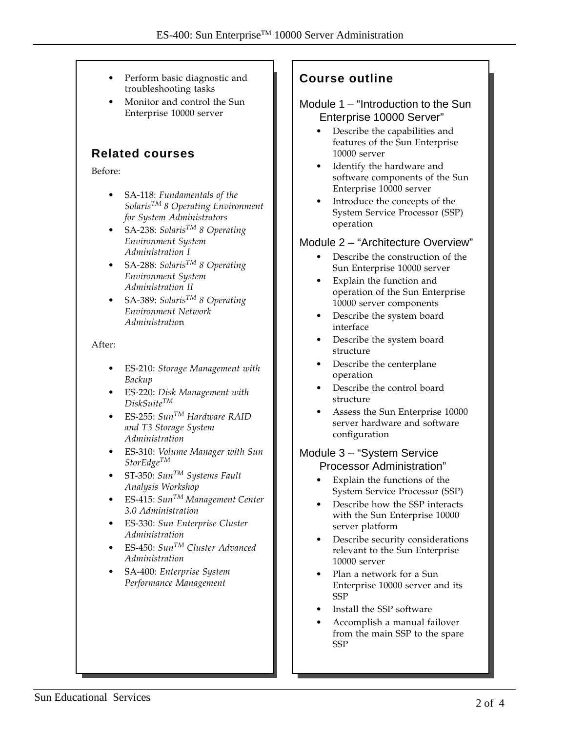- Perform basic diagnostic and troubleshooting tasks
- Monitor and control the Sun Enterprise 10000 server

### **Related courses**

Before:

- SA-118: *Fundamentals of the SolarisTM 8 Operating Environment for System Administrators*
- SA-238: *SolarisTM 8 Operating Environment System Administration I*
- SA-288: *SolarisTM 8 Operating Environment System Administration II*
- SA-389: *SolarisTM 8 Operating Environment Network Administratio*n

#### After:

- ES-210: *Storage Management with Backup*
- ES-220: *Disk Management with DiskSuiteTM*
- ES-255: *SunTM Hardware RAID and T3 Storage System Administration*
- ES-310: *Volume Manager with Sun StorEdgeTM*
- ST-350: *SunTM Systems Fault Analysis Workshop*
- ES-415: *SunTM Management Center 3.0 Administration*
- ES-330: *Sun Enterprise Cluster Administration*
- ES-450: *SunTM Cluster Advanced Administration*
- SA-400: *Enterprise System Performance Management*

### **Course outline**

#### Module 1 – "Introduction to the Sun Enterprise 10000 Server"

- Describe the capabilities and features of the Sun Enterprise 10000 server
- Identify the hardware and software components of the Sun Enterprise 10000 server
- Introduce the concepts of the System Service Processor (SSP) operation

#### Module 2 – "Architecture Overview"

- Describe the construction of the Sun Enterprise 10000 server
- Explain the function and operation of the Sun Enterprise 10000 server components
- Describe the system board interface
- Describe the system board structure
- Describe the centerplane operation
- Describe the control board structure
- Assess the Sun Enterprise 10000 server hardware and software configuration

#### Module 3 – "System Service Processor Administration"

- Explain the functions of the System Service Processor (SSP)
- Describe how the SSP interacts with the Sun Enterprise 10000 server platform
- Describe security considerations relevant to the Sun Enterprise 10000 server
- Plan a network for a Sun Enterprise 10000 server and its SSP
- Install the SSP software
- Accomplish a manual failover from the main SSP to the spare SSP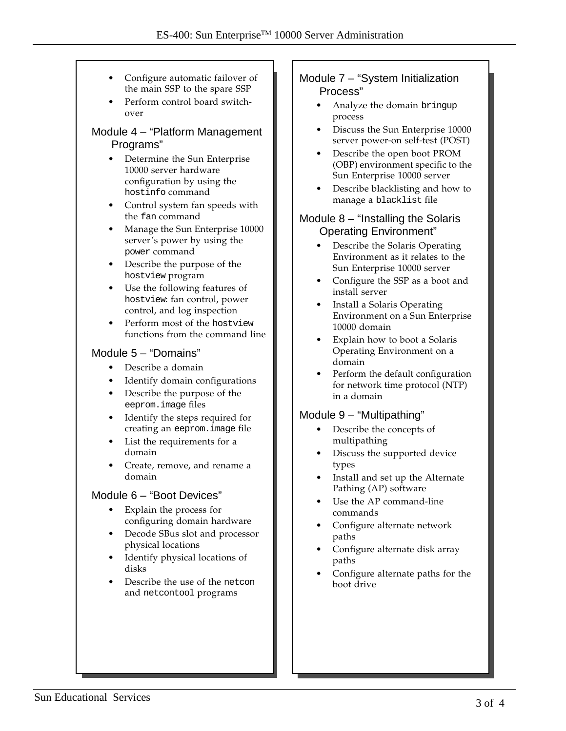- Configure automatic failover of the main SSP to the spare SSP
- Perform control board switchover

#### Module 4 – "Platform Management Programs"

- Determine the Sun Enterprise 10000 server hardware configuration by using the hostinfo command
- Control system fan speeds with the fan command
- Manage the Sun Enterprise 10000 server's power by using the power command
- Describe the purpose of the hostview program
- Use the following features of hostview: fan control, power control, and log inspection
- Perform most of the hostview functions from the command line

#### Module 5 – "Domains"

- Describe a domain
- Identify domain configurations
- Describe the purpose of the eeprom.image files
- Identify the steps required for creating an eeprom.image file
- List the requirements for a domain
- Create, remove, and rename a domain

#### Module 6 – "Boot Devices"

- Explain the process for configuring domain hardware
- Decode SBus slot and processor physical locations
- Identify physical locations of disks
- Describe the use of the netcon and netcontool programs

#### Module 7 – "System Initialization Process"

- Analyze the domain bringup process
- Discuss the Sun Enterprise 10000 server power-on self-test (POST)
- Describe the open boot PROM (OBP) environment specific to the Sun Enterprise 10000 server
- Describe blacklisting and how to manage a blacklist file

#### Module 8 – "Installing the Solaris Operating Environment"

- Describe the Solaris Operating Environment as it relates to the Sun Enterprise 10000 server
- Configure the SSP as a boot and install server
- Install a Solaris Operating Environment on a Sun Enterprise 10000 domain
- Explain how to boot a Solaris Operating Environment on a domain
- Perform the default configuration for network time protocol (NTP) in a domain

#### Module 9 – "Multipathing"

- Describe the concepts of multipathing
- Discuss the supported device types
- Install and set up the Alternate Pathing (AP) software
- Use the AP command-line commands
- Configure alternate network paths
- Configure alternate disk array paths
- Configure alternate paths for the boot drive